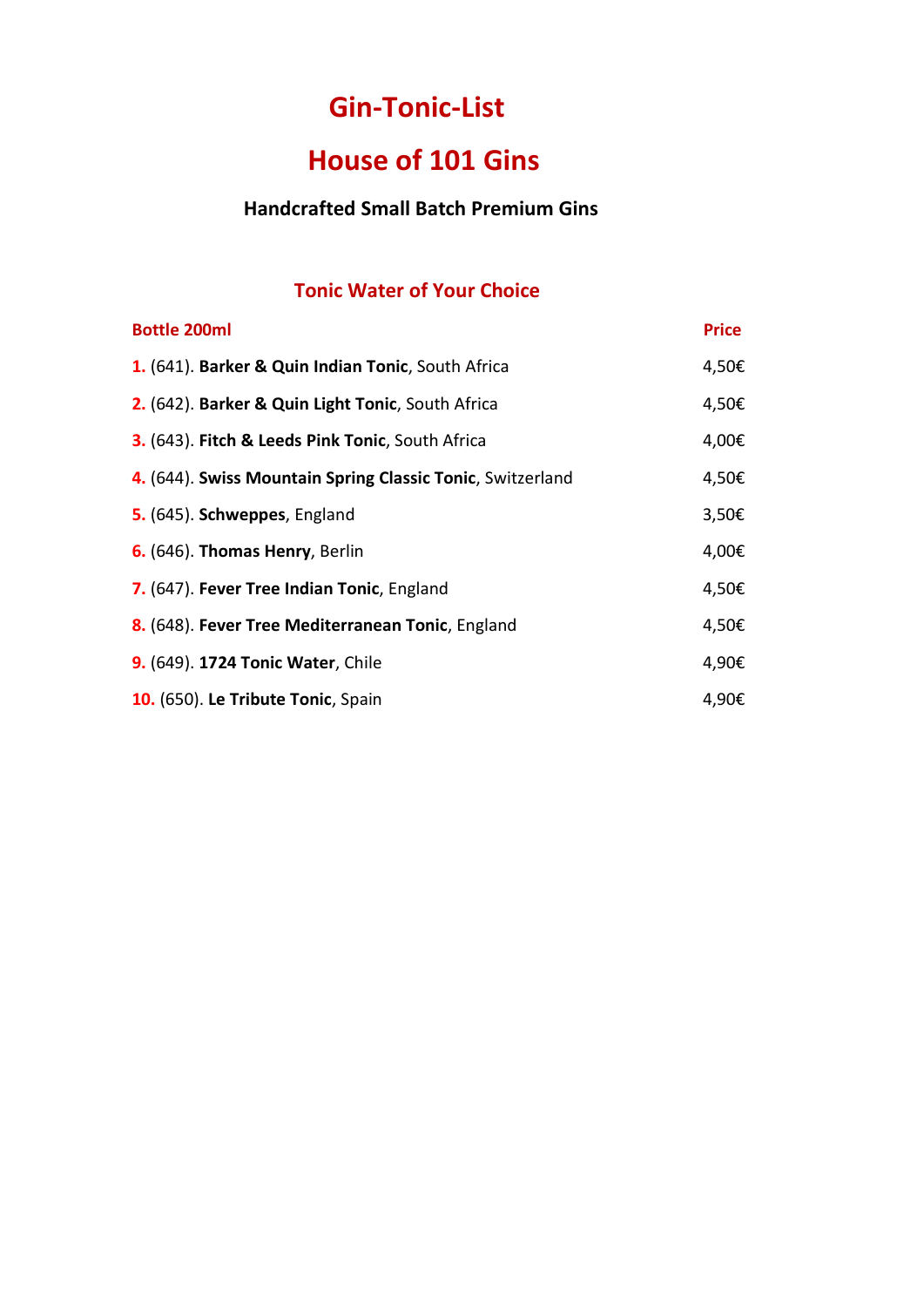# **Gin-Tonic-List**

# **House of 101 Gins**

### **Handcrafted Small Batch Premium Gins**

### **Tonic Water of Your Choice**

| <b>Bottle 200ml</b>                                        | <b>Price</b> |
|------------------------------------------------------------|--------------|
| 1. (641). Barker & Quin Indian Tonic, South Africa         | 4,50€        |
| 2. (642). Barker & Quin Light Tonic, South Africa          | 4,50€        |
| 3. (643). Fitch & Leeds Pink Tonic, South Africa           | 4,00€        |
| 4. (644). Swiss Mountain Spring Classic Tonic, Switzerland | 4,50€        |
| 5. (645). Schweppes, England                               | 3,50€        |
| 6. (646). Thomas Henry, Berlin                             | 4,00€        |
| 7. (647). Fever Tree Indian Tonic, England                 | 4,50€        |
| 8. (648). Fever Tree Mediterranean Tonic, England          | 4,50€        |
| 9. (649). 1724 Tonic Water, Chile                          | 4,90€        |
| 10. (650). Le Tribute Tonic, Spain                         | 4,90€        |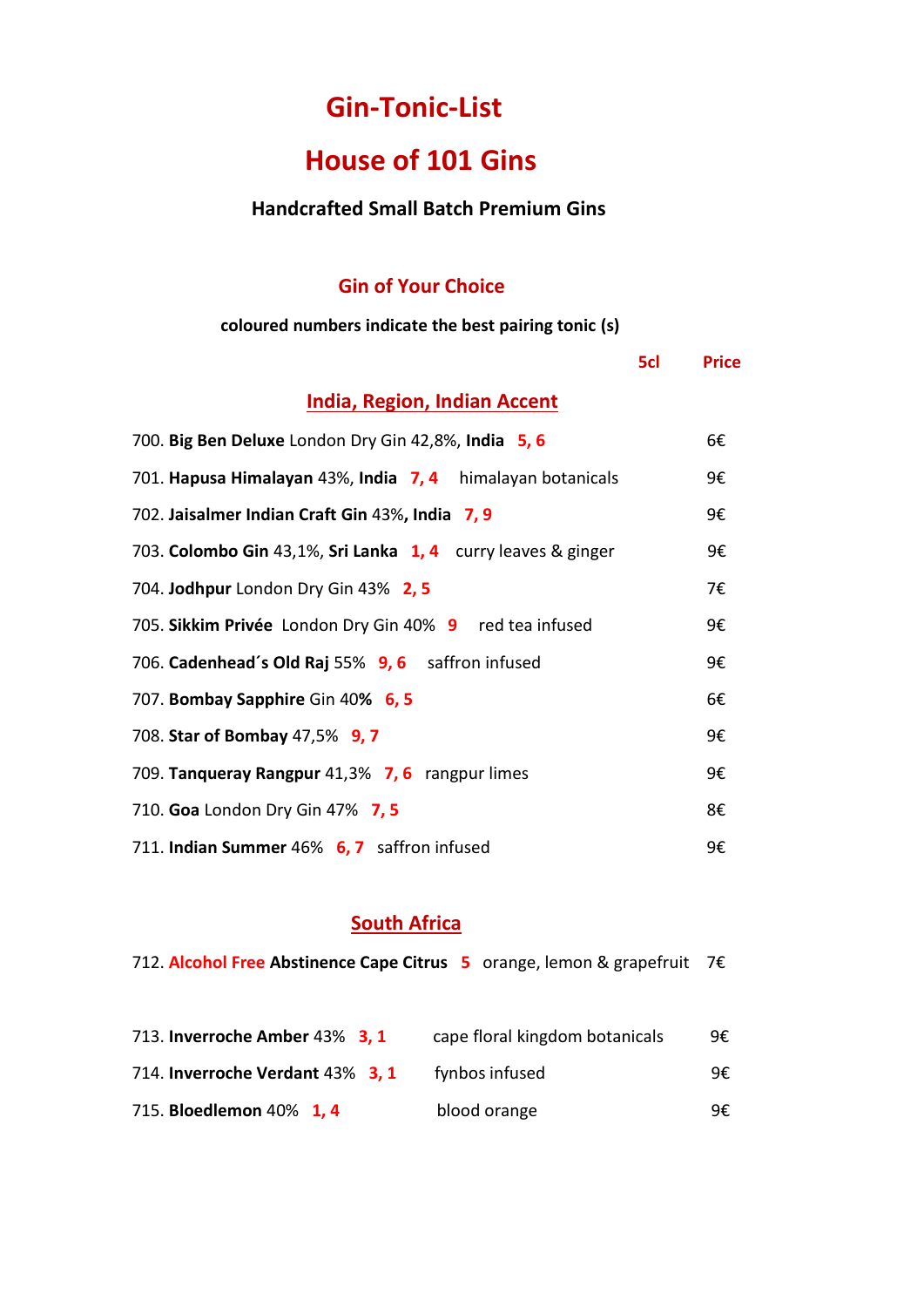# **Gin-Tonic-List**

# **House of 101 Gins**

#### **Handcrafted Small Batch Premium Gins**

### **Gin of Your Choice**

#### **coloured numbers indicate the best pairing tonic (s)**

|                                                              | 5cl | <b>Price</b> |
|--------------------------------------------------------------|-----|--------------|
| <b>India, Region, Indian Accent</b>                          |     |              |
| 700. Big Ben Deluxe London Dry Gin 42,8%, India 5, 6         |     | 6€           |
| 701. Hapusa Himalayan 43%, India 7, 4 himalayan botanicals   |     | 9€           |
| 702. Jaisalmer Indian Craft Gin 43%, India 7, 9              |     | 9€           |
| 703. Colombo Gin 43,1%, Sri Lanka 1, 4 curry leaves & ginger |     | 9€           |
| 704. Jodhpur London Dry Gin 43% 2, 5                         |     | 7€           |
| 705. Sikkim Privée London Dry Gin 40% 9 red tea infused      |     | 9€           |
| 706. Cadenhead's Old Raj 55% 9, 6 saffron infused            |     | 9€           |
| 707. Bombay Sapphire Gin 40% 6, 5                            |     | 6€           |
| 708. Star of Bombay 47,5% 9, 7                               |     | 9€           |
| 709. Tanqueray Rangpur 41,3% 7, 6 rangpur limes              |     | 9€           |
| 710. Goa London Dry Gin 47% 7, 5                             |     | 8€           |
| 711. Indian Summer 46% 6, 7 saffron infused                  |     | 9€           |

#### **South Africa**

712. **Alcohol Free Abstinence Cape Citrus 5** orange, lemon & grapefruit 7€

| 713. Inverroche Amber 43% 3, 1   | cape floral kingdom botanicals | 9€ |
|----------------------------------|--------------------------------|----|
| 714. Inverroche Verdant 43% 3, 1 | fynbos infused                 | 9€ |
| 715. Bloedlemon 40% 1, 4         | blood orange                   | 9€ |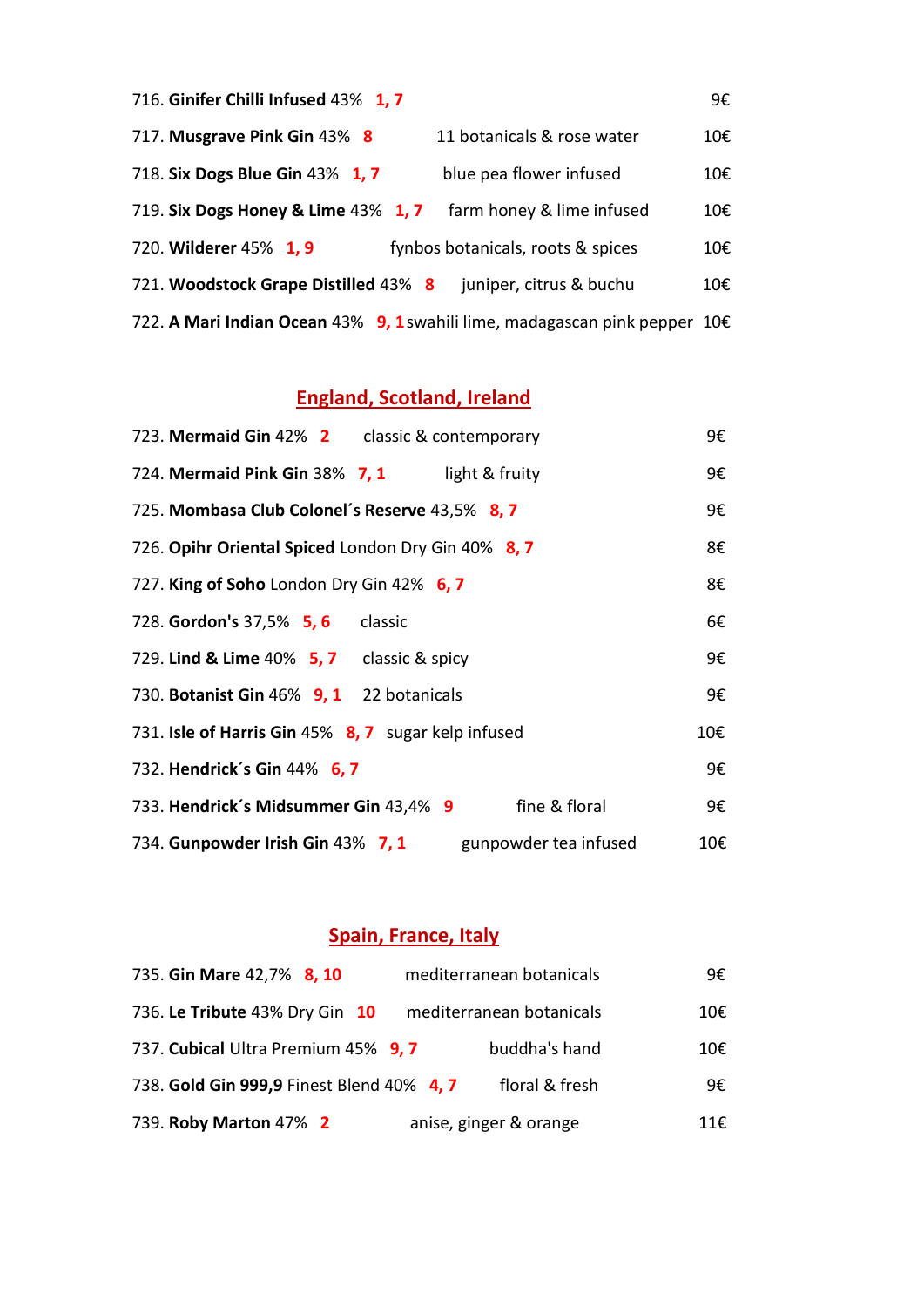| 716. Ginifer Chilli Infused 43% 1, 7                                            |                                   | 9€  |
|---------------------------------------------------------------------------------|-----------------------------------|-----|
| 717. Musgrave Pink Gin 43% 8                                                    | 11 botanicals & rose water        | 10€ |
| 718. Six Dogs Blue Gin 43% 1, 7                                                 | blue pea flower infused           | 10€ |
| 719. Six Dogs Honey & Lime 43% 1, 7                                             | farm honey & lime infused         | 10€ |
| 720. Wilderer 45% 1, 9                                                          | fynbos botanicals, roots & spices | 10€ |
| 721. Woodstock Grape Distilled 43% 8                                            | juniper, citrus & buchu           | 10€ |
| 722. A Mari Indian Ocean 43% 9, 1 swahili lime, madagascan pink pepper $10 \in$ |                                   |     |

## **England, Scotland, Ireland**

| 723. Mermaid Gin 42% 2 classic & contemporary                     | 9€  |
|-------------------------------------------------------------------|-----|
| 724. Mermaid Pink Gin 38% 7, 1 light & fruity                     | 9€  |
| 725. Mombasa Club Colonel's Reserve 43,5% 8,7                     | 9€  |
| 726. Opihr Oriental Spiced London Dry Gin 40% 8, 7                | 8€  |
| 727. King of Soho London Dry Gin 42% 6, 7                         | 8€  |
| 728. Gordon's 37,5% 5, 6 classic                                  | 6€  |
| 729. Lind & Lime 40% 5, 7 classic & spicy                         | 9€  |
| 730. Botanist Gin 46% 9, 1 22 botanicals                          | 9€  |
| 731. <b>Isle of Harris Gin</b> 45% <b>8, 7</b> sugar kelp infused | 10€ |
| 732. Hendrick's Gin 44% 6, 7                                      | 9€  |
| fine & floral<br>733. Hendrick's Midsummer Gin 43,4% 9            | 9€  |
| 734. Gunpowder Irish Gin 43% 7, 1<br>gunpowder tea infused        | 10€ |

## **Spain, France, Italy**

| 735. Gin Mare 42,7% 8, 10                 | mediterranean botanicals | 9€  |
|-------------------------------------------|--------------------------|-----|
| 736. Le Tribute 43% Dry Gin 10            | mediterranean botanicals | 10€ |
| 737. Cubical Ultra Premium 45% 9, 7       | buddha's hand            | 10€ |
| 738. Gold Gin 999,9 Finest Blend 40% 4, 7 | floral & fresh           | 9€  |
| 739. Roby Marton 47% 2                    | anise, ginger & orange   | 11€ |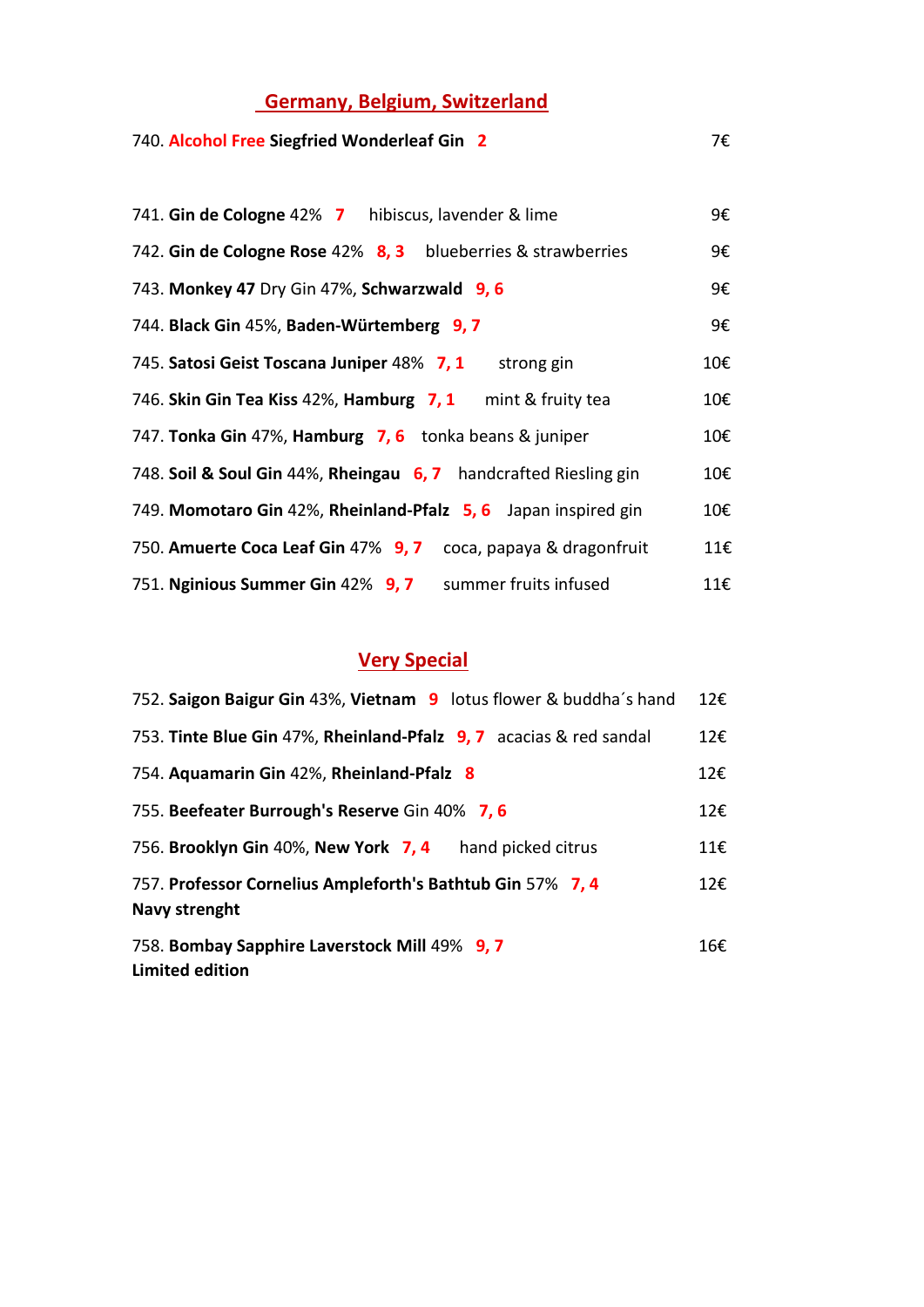## **Germany, Belgium, Switzerland**

### 740. **Alcohol Free Siegfried Wonderleaf Gin 2** 7€

| 741. Gin de Cologne 42% 7 hibiscus, lavender & lime              | 9€  |
|------------------------------------------------------------------|-----|
| 742. Gin de Cologne Rose 42% 8, 3 blueberries & strawberries     | 9€  |
| 743. Monkey 47 Dry Gin 47%, Schwarzwald 9, 6                     | 9€  |
| 744. Black Gin 45%, Baden-Würtemberg 9, 7                        | 9€  |
| 745. Satosi Geist Toscana Juniper 48% 7, 1 strong gin            | 10€ |
| 746. Skin Gin Tea Kiss 42%, Hamburg 7, 1 mint & fruity tea       | 10€ |
| 747. Tonka Gin 47%, Hamburg 7, 6 tonka beans & juniper           | 10€ |
| 748. Soil & Soul Gin 44%, Rheingau 6, 7 handcrafted Riesling gin | 10€ |
| 749. Momotaro Gin 42%, Rheinland-Pfalz 5, 6 Japan inspired gin   | 10€ |
| 750. Amuerte Coca Leaf Gin 47% 9, 7 coca, papaya & dragonfruit   | 11€ |
| 751. Nginious Summer Gin 42% 9, 7 summer fruits infused          | 11€ |

## **Very Special**

| 752. Saigon Baigur Gin 43%, Vietnam 9 lotus flower & buddha's hand          | 12€ |
|-----------------------------------------------------------------------------|-----|
| 753. Tinte Blue Gin 47%, Rheinland-Pfalz 9, 7 acacias & red sandal          | 12€ |
| 754. Aquamarin Gin 42%, Rheinland-Pfalz 8                                   | 12€ |
| 755. Beefeater Burrough's Reserve Gin 40% 7, 6                              | 12€ |
| 756. Brooklyn Gin 40%, New York 7, 4<br>hand picked citrus                  | 11€ |
| 757. Professor Cornelius Ampleforth's Bathtub Gin 57% 7, 4<br>Navy strenght | 12€ |
| 758. Bombay Sapphire Laverstock Mill 49% 9, 7<br><b>Limited edition</b>     | 16€ |